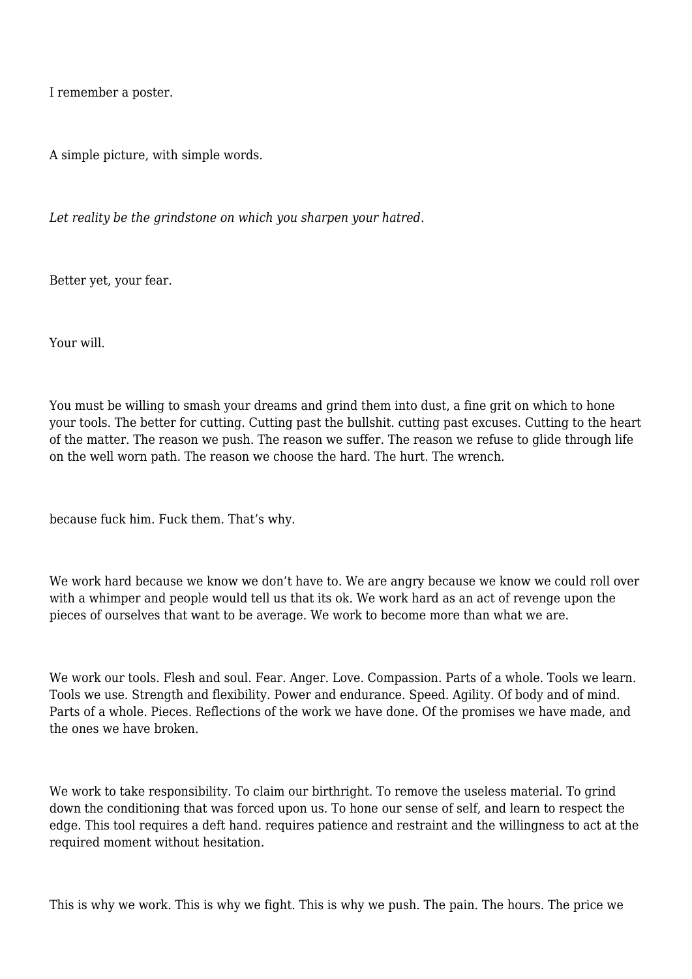I remember a poster.

A simple picture, with simple words.

*Let reality be the grindstone on which you sharpen your hatred.*

Better yet, your fear.

Your will.

You must be willing to smash your dreams and grind them into dust, a fine grit on which to hone your tools. The better for cutting. Cutting past the bullshit. cutting past excuses. Cutting to the heart of the matter. The reason we push. The reason we suffer. The reason we refuse to glide through life on the well worn path. The reason we choose the hard. The hurt. The wrench.

because fuck him. Fuck them. That's why.

We work hard because we know we don't have to. We are angry because we know we could roll over with a whimper and people would tell us that its ok. We work hard as an act of revenge upon the pieces of ourselves that want to be average. We work to become more than what we are.

We work our tools. Flesh and soul. Fear. Anger. Love. Compassion. Parts of a whole. Tools we learn. Tools we use. Strength and flexibility. Power and endurance. Speed. Agility. Of body and of mind. Parts of a whole. Pieces. Reflections of the work we have done. Of the promises we have made, and the ones we have broken.

We work to take responsibility. To claim our birthright. To remove the useless material. To grind down the conditioning that was forced upon us. To hone our sense of self, and learn to respect the edge. This tool requires a deft hand. requires patience and restraint and the willingness to act at the required moment without hesitation.

This is why we work. This is why we fight. This is why we push. The pain. The hours. The price we